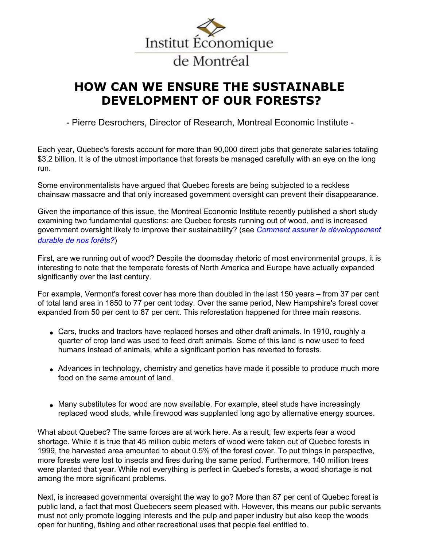

## de Montréal

## **HOW CAN WE ENSURE THE SUSTAINABLE DEVELOPMENT OF OUR FORESTS?**

- Pierre Desrochers, Director of Research, Montreal Economic Institute -

Each year, Quebec's forests account for more than 90,000 direct jobs that generate salaries totaling \$3.2 billion. It is of the utmost importance that forests be managed carefully with an eye on the long run.

Some environmentalists have argued that Quebec forests are being subjected to a reckless chainsaw massacre and that only increased government oversight can prevent their disappearance.

Given the importance of this issue, the Montreal Economic Institute recently published a short study examining two fundamental questions: are Quebec forests running out of wood, and is increased government oversight likely to improve their sustainability? (see *[Comment assurer le développement](http://www.iedm.org/main/show_publications_fr.php?publications_id=36)  [durable de nos forêts?](http://www.iedm.org/main/show_publications_fr.php?publications_id=36)*)

First, are we running out of wood? Despite the doomsday rhetoric of most environmental groups, it is interesting to note that the temperate forests of North America and Europe have actually expanded significantly over the last century.

For example, Vermont's forest cover has more than doubled in the last 150 years – from 37 per cent of total land area in 1850 to 77 per cent today. Over the same period, New Hampshire's forest cover expanded from 50 per cent to 87 per cent. This reforestation happened for three main reasons.

- Cars, trucks and tractors have replaced horses and other draft animals. In 1910, roughly a quarter of crop land was used to feed draft animals. Some of this land is now used to feed humans instead of animals, while a significant portion has reverted to forests.
- Advances in technology, chemistry and genetics have made it possible to produce much more food on the same amount of land.
- Many substitutes for wood are now available. For example, steel studs have increasingly replaced wood studs, while firewood was supplanted long ago by alternative energy sources.

What about Quebec? The same forces are at work here. As a result, few experts fear a wood shortage. While it is true that 45 million cubic meters of wood were taken out of Quebec forests in 1999, the harvested area amounted to about 0.5% of the forest cover. To put things in perspective, more forests were lost to insects and fires during the same period. Furthermore, 140 million trees were planted that year. While not everything is perfect in Quebec's forests, a wood shortage is not among the more significant problems.

Next, is increased governmental oversight the way to go? More than 87 per cent of Quebec forest is public land, a fact that most Quebecers seem pleased with. However, this means our public servants must not only promote logging interests and the pulp and paper industry but also keep the woods open for hunting, fishing and other recreational uses that people feel entitled to.